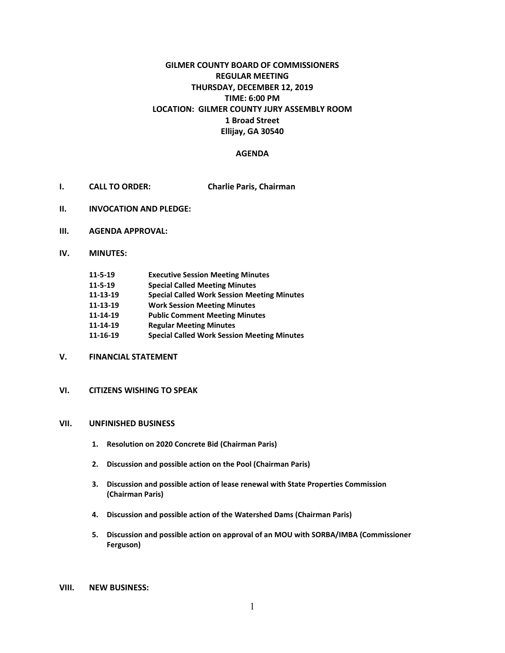# **GILMER COUNTY BOARD OF COMMISSIONERS REGULAR MEETING THURSDAY, DECEMBER 12, 2019 TIME: 6:00 PM LOCATION: GILMER COUNTY JURY ASSEMBLY ROOM 1 Broad Street Ellijay, GA 30540**

#### **AGENDA**

- **I. CALL TO ORDER: Charlie Paris, Chairman**
- **II. INVOCATION AND PLEDGE:**
- **III. AGENDA APPROVAL:**
- **IV. MINUTES:**

| 11-5-19 | <b>Executive Session Meeting Minutes</b> |
|---------|------------------------------------------|
|---------|------------------------------------------|

- **11-5-19 Special Called Meeting Minutes**
- **11-13-19 Special Called Work Session Meeting Minutes**
- **11-13-19 Work Session Meeting Minutes**
- **11-14-19 Public Comment Meeting Minutes**
- **11-14-19 Regular Meeting Minutes**
- **11-16-19 Special Called Work Session Meeting Minutes**
- **V. FINANCIAL STATEMENT**
- **VI. CITIZENS WISHING TO SPEAK**

# **VII. UNFINISHED BUSINESS**

- **1. Resolution on 2020 Concrete Bid (Chairman Paris)**
- **2. Discussion and possible action on the Pool (Chairman Paris)**
- **3. Discussion and possible action of lease renewal with State Properties Commission (Chairman Paris)**
- **4. Discussion and possible action of the Watershed Dams (Chairman Paris)**
- **5. Discussion and possible action on approval of an MOU with SORBA/IMBA (Commissioner Ferguson)**
- **VIII. NEW BUSINESS:**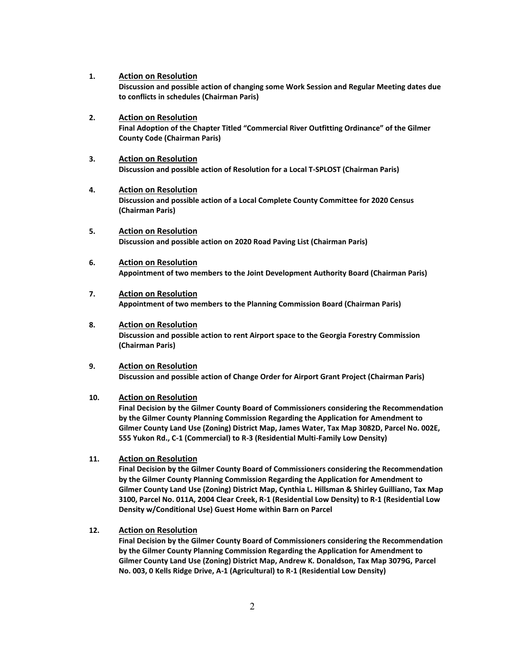- **1. Action on Resolution Discussion and possible action of changing some Work Session and Regular Meeting dates due to conflicts in schedules (Chairman Paris)**
- **2. Action on Resolution** Final Adoption of the Chapter Titled "Commercial River Outfitting Ordinance" of the Gilmer **County Code (Chairman Paris)**
- **3. Action on Resolution Discussion and possible action of Resolution for a Local T-SPLOST (Chairman Paris)**
- **4. Action on Resolution Discussion and possible action of a Local Complete County Committee for 2020 Census (Chairman Paris)**
- **5. Action on Resolution Discussion and possible action on 2020 Road Paving List (Chairman Paris)**
- **6. Action on Resolution Appointment of two members to the Joint Development Authority Board (Chairman Paris)**
- **7. Action on Resolution Appointment of two members to the Planning Commission Board (Chairman Paris)**
- **8. Action on Resolution Discussion and possible action to rent Airport space to the Georgia Forestry Commission (Chairman Paris)**
- **9. Action on Resolution Discussion and possible action of Change Order for Airport Grant Project (Chairman Paris)**

#### **10. Action on Resolution**

**Final Decision by the Gilmer County Board of Commissioners considering the Recommendation by the Gilmer County Planning Commission Regarding the Application for Amendment to Gilmer County Land Use (Zoning) District Map, James Water, Tax Map 3082D, Parcel No. 002E, 555 Yukon Rd., C-1 (Commercial) to R-3 (Residential Multi-Family Low Density)**

**11. Action on Resolution**

**Final Decision by the Gilmer County Board of Commissioners considering the Recommendation by the Gilmer County Planning Commission Regarding the Application for Amendment to Gilmer County Land Use (Zoning) District Map, Cynthia L. Hillsman & Shirley Guilliano, Tax Map 3100, Parcel No. 011A, 2004 Clear Creek, R-1 (Residential Low Density) to R-1 (Residential Low Density w/Conditional Use) Guest Home within Barn on Parcel**

**12. Action on Resolution**

**Final Decision by the Gilmer County Board of Commissioners considering the Recommendation by the Gilmer County Planning Commission Regarding the Application for Amendment to Gilmer County Land Use (Zoning) District Map, Andrew K. Donaldson, Tax Map 3079G, Parcel No. 003, 0 Kells Ridge Drive, A-1 (Agricultural) to R-1 (Residential Low Density)**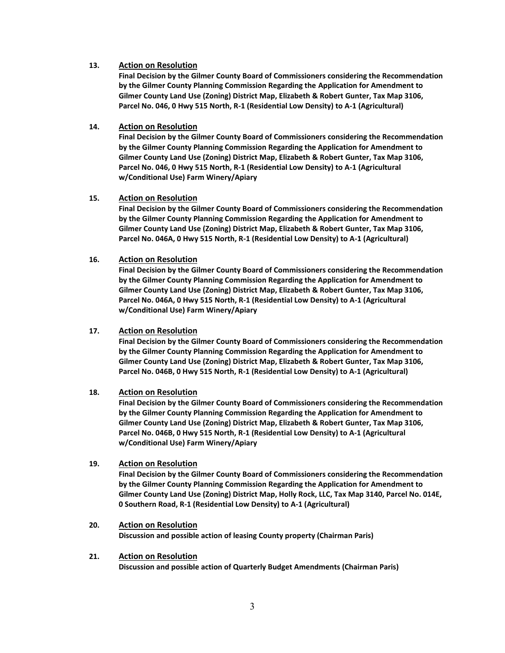### **13. Action on Resolution**

**Final Decision by the Gilmer County Board of Commissioners considering the Recommendation by the Gilmer County Planning Commission Regarding the Application for Amendment to Gilmer County Land Use (Zoning) District Map, Elizabeth & Robert Gunter, Tax Map 3106, Parcel No. 046, 0 Hwy 515 North, R-1 (Residential Low Density) to A-1 (Agricultural)**

# **14. Action on Resolution**

**Final Decision by the Gilmer County Board of Commissioners considering the Recommendation by the Gilmer County Planning Commission Regarding the Application for Amendment to Gilmer County Land Use (Zoning) District Map, Elizabeth & Robert Gunter, Tax Map 3106, Parcel No. 046, 0 Hwy 515 North, R-1 (Residential Low Density) to A-1 (Agricultural w/Conditional Use) Farm Winery/Apiary**

# **15. Action on Resolution**

**Final Decision by the Gilmer County Board of Commissioners considering the Recommendation by the Gilmer County Planning Commission Regarding the Application for Amendment to Gilmer County Land Use (Zoning) District Map, Elizabeth & Robert Gunter, Tax Map 3106, Parcel No. 046A, 0 Hwy 515 North, R-1 (Residential Low Density) to A-1 (Agricultural)** 

# **16. Action on Resolution**

**Final Decision by the Gilmer County Board of Commissioners considering the Recommendation by the Gilmer County Planning Commission Regarding the Application for Amendment to Gilmer County Land Use (Zoning) District Map, Elizabeth & Robert Gunter, Tax Map 3106, Parcel No. 046A, 0 Hwy 515 North, R-1 (Residential Low Density) to A-1 (Agricultural w/Conditional Use) Farm Winery/Apiary**

### **17. Action on Resolution**

**Final Decision by the Gilmer County Board of Commissioners considering the Recommendation by the Gilmer County Planning Commission Regarding the Application for Amendment to Gilmer County Land Use (Zoning) District Map, Elizabeth & Robert Gunter, Tax Map 3106, Parcel No. 046B, 0 Hwy 515 North, R-1 (Residential Low Density) to A-1 (Agricultural)**

# **18. Action on Resolution**

**Final Decision by the Gilmer County Board of Commissioners considering the Recommendation by the Gilmer County Planning Commission Regarding the Application for Amendment to Gilmer County Land Use (Zoning) District Map, Elizabeth & Robert Gunter, Tax Map 3106, Parcel No. 046B, 0 Hwy 515 North, R-1 (Residential Low Density) to A-1 (Agricultural w/Conditional Use) Farm Winery/Apiary**

# **19. Action on Resolution**

**Final Decision by the Gilmer County Board of Commissioners considering the Recommendation by the Gilmer County Planning Commission Regarding the Application for Amendment to Gilmer County Land Use (Zoning) District Map, Holly Rock, LLC, Tax Map 3140, Parcel No. 014E, 0 Southern Road, R-1 (Residential Low Density) to A-1 (Agricultural)**

#### **20. Action on Resolution**

**Discussion and possible action of leasing County property (Chairman Paris)**

#### **21. Action on Resolution Discussion and possible action of Quarterly Budget Amendments (Chairman Paris)**